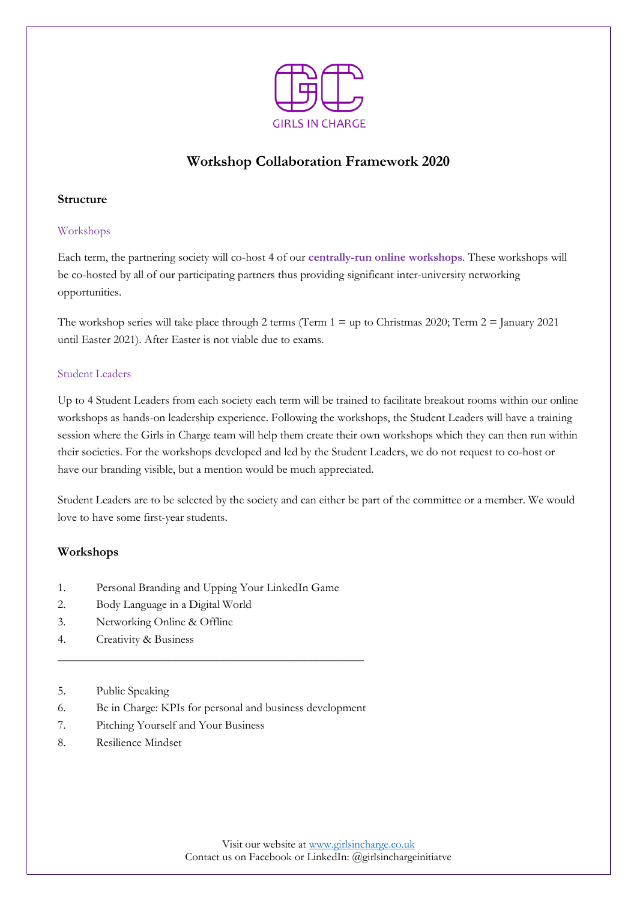

# **Workshop Collaboration Framework 2020**

## **Structure**

## Workshops

Each term, the partnering society will co-host 4 of our **centrally-run online workshops**. These workshops will be co-hosted by all of our participating partners thus providing significant inter-university networking opportunities.

The workshop series will take place through 2 terms (Term  $1 = \text{up to Christmas } 2020$ ; Term  $2 = \text{January } 2021$ until Easter 2021). After Easter is not viable due to exams.

### Student Leaders

Up to 4 Student Leaders from each society each term will be trained to facilitate breakout rooms within our online workshops as hands-on leadership experience. Following the workshops, the Student Leaders will have a training session where the Girls in Charge team will help them create their own workshops which they can then run within their societies. For the workshops developed and led by the Student Leaders, we do not request to co-host or have our branding visible, but a mention would be much appreciated.

Student Leaders are to be selected by the society and can either be part of the committee or a member. We would love to have some first-year students.

## **Workshops**

- 1. Personal Branding and Upping Your LinkedIn Game
- 2. Body Language in a Digital World
- 3. Networking Online & Offline
- 4. Creativity & Business
- 5. Public Speaking
- 6. Be in Charge: KPIs for personal and business development

\_\_\_\_\_\_\_\_\_\_\_\_\_\_\_\_\_\_\_\_\_\_\_\_\_\_\_\_\_\_\_\_\_\_\_\_\_\_\_\_\_\_\_\_\_\_\_\_\_\_\_\_

- 7. Pitching Yourself and Your Business
- 8. Resilience Mindset